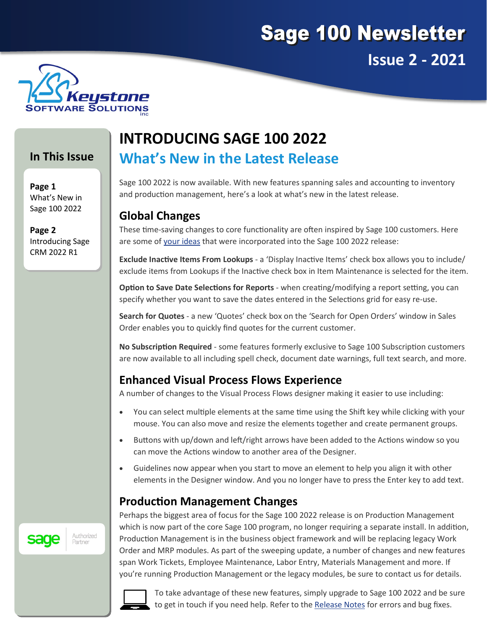



#### **In This Issue**

**Page 1** What's New in Sage 100 2022

**Page 2** Introducing Sage CRM 2022 R1

# **INTRODUCING SAGE 100 2022 What's New in the Latest Release**

Sage 100 2022 is now available. With new features spanning sales and accounting to inventory and production management, here's a look at what's new in the latest release.

#### **Global Changes**

These time-saving changes to core functionality are often inspired by Sage 100 customers. Here are some of [your ideas](https://www5.v1ideas.com/TheSageGroupplc/Sage100ERP) that were incorporated into the Sage 100 2022 release:

**Exclude Inactive Items From Lookups** - a 'Display Inactive Items' check box allows you to include/ exclude items from Lookups if the Inactive check box in Item Maintenance is selected for the item.

**Option to Save Date Selections for Reports** - when creating/modifying a report setting, you can specify whether you want to save the dates entered in the Selections grid for easy re-use.

**Search for Quotes** - a new 'Quotes' check box on the 'Search for Open Orders' window in Sales Order enables you to quickly find quotes for the current customer.

**No Subscription Required** - some features formerly exclusive to Sage 100 Subscription customers are now available to all including spell check, document date warnings, full text search, and more.

## **Enhanced Visual Process Flows Experience**

A number of changes to the Visual Process Flows designer making it easier to use including:

- You can select multiple elements at the same time using the Shift key while clicking with your mouse. You can also move and resize the elements together and create permanent groups.
- Buttons with up/down and left/right arrows have been added to the Actions window so you can move the Actions window to another area of the Designer.
- Guidelines now appear when you start to move an element to help you align it with other elements in the Designer window. And you no longer have to press the Enter key to add text.

## **Production Management Changes**

Perhaps the biggest area of focus for the Sage 100 2022 release is on Production Management which is now part of the core Sage 100 program, no longer requiring a separate install. In addition, Production Management is in the business object framework and will be replacing legacy Work Order and MRP modules. As part of the sweeping update, a number of changes and new features span Work Tickets, Employee Maintenance, Labor Entry, Materials Management and more. If you're running Production Management or the legacy modules, be sure to contact us for details.



To take advantage of these new features, simply upgrade to Sage 100 2022 and be sure to get in touch if you need help. Refer to the [Release Notes](https://cdn.na.sage.com/docs/en/customer/100erp/2022/open/SRNs.pdf) for errors and bug fixes.



Authorized

Partner